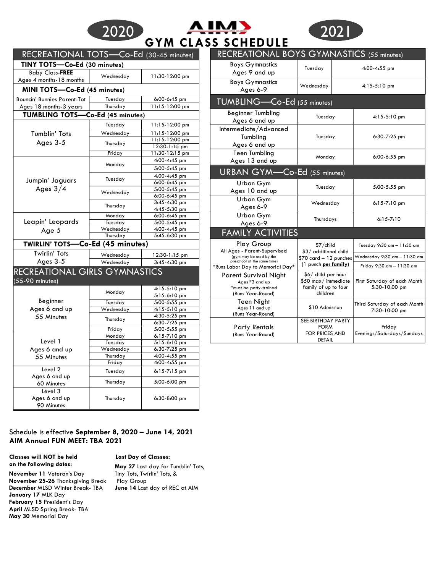| 2020 | A IMB                     | 1202 I |
|------|---------------------------|--------|
|      | <b>GYM CLASS SCHEDULE</b> |        |



| RECREATIONAL TOTS-Co-Ed (30-45 minutes)<br>TINY TOTS-Co-Ed (30 minutes) |           |                                | RECREATIONAL BOYS GYMNASTICS (55 minutes)<br><b>Boys Gymnastics</b> |                                                |                                      |
|-------------------------------------------------------------------------|-----------|--------------------------------|---------------------------------------------------------------------|------------------------------------------------|--------------------------------------|
| <b>Baby Class-FREE</b>                                                  | Wednesday | 11:30-12:00 pm                 | Ages 9 and up                                                       | Tuesday                                        | 4:00-4:55 pm                         |
| Ages 4 months-18 months<br>MINI TOTS-Co-Ed (45 minutes)                 |           |                                | <b>Boys Gymnastics</b><br>Ages 6-9                                  | Wednesday                                      | $4:15-5:10$ pm                       |
| <b>Bouncin' Bunnies Parent-Tot</b>                                      | Tuesday   | $6:00 - 6:45$ pm               | TUMBLING-Co-Ed (55 minutes)                                         |                                                |                                      |
| Ages 18 months-3 years                                                  | Thursday  | 11:15-12:00 pm                 |                                                                     |                                                |                                      |
| TUMBLING TOTS-Co-Ed (45 minutes)                                        |           |                                | <b>Beginner Tumbling</b>                                            | Tuesday                                        | 4:15-5:10 pr                         |
|                                                                         | Tuesday   | $11:15-12:00$ pm               | Ages 6 and up                                                       |                                                |                                      |
| <b>Tumblin' Tots</b>                                                    | Wednesday | 11:15-12:00 pm                 | Intermediate/Advanced                                               |                                                |                                      |
|                                                                         |           | 11:15-12:00 pm                 | Tumbling                                                            | Tuesday                                        | 6:30-7:25 pr                         |
| Ages 3-5                                                                | Thursday  | 12:30-1:15 pm                  | Ages 6 and up                                                       |                                                |                                      |
|                                                                         | Friday    | 11:30-12:15 pm                 | <b>Teen Tumbling</b>                                                |                                                |                                      |
|                                                                         |           | 4:00-4:45 pm                   | Ages 13 and up                                                      | Monday                                         | 6:00-6:55 pr                         |
|                                                                         | Monday    | 5:00-5:45 pm                   |                                                                     |                                                |                                      |
|                                                                         |           | 4:00-4:45 pm                   | URBAN GYM-Co-Ed (55 minutes)                                        |                                                |                                      |
| Jumpin' Jaguars                                                         | Tuesday   | $6:00 - 6:45$ pm               | Urban Gym                                                           |                                                |                                      |
| Ages $3/4$                                                              |           | 5:00-5:45 pm                   | Ages 10 and up                                                      | Tuesday                                        | 5:00-5:55 pr                         |
|                                                                         | Wednesday | 6:00-6:45 pm                   |                                                                     |                                                |                                      |
|                                                                         |           | 3:45-4:30 pm                   | Urban Gym                                                           | Wednesday                                      | 6:15-7:10 pr                         |
|                                                                         | Thursday  | 4:45-5:30 pm                   | Ages 6-9                                                            |                                                |                                      |
|                                                                         | Monday    | 6:00-6:45 pm                   | Urban Gym                                                           | Thursdays                                      | $6:15 - 7:10$                        |
| Leapin' Leopards                                                        | Tuesday   | 5:00-5:45 pm                   | Ages 6-9                                                            |                                                |                                      |
| Age 5                                                                   | Wednesday | 4:00-4:45 pm                   | <b>FAMILY ACTIVITIES</b>                                            |                                                |                                      |
|                                                                         | Thursday  | 5:45-6:30 pm                   |                                                                     |                                                |                                      |
| <b>TWIRLIN' TOTS-Co-Ed (45 minutes)</b>                                 |           |                                | Play Group                                                          | \$7/child                                      | Tuesday $9:30$ am $-1$               |
| <b>Twirlin' Tots</b>                                                    | Wednesday | 12:30-1:15 pm                  | All Ages - Parent-Supervised<br>(gym may be used by the             | \$3/ additional child                          | Wednesday 9:30 am -                  |
| Ages 3-5                                                                | Wednesday | $3:45 - 4:30$ pm               | preschool at the same time)                                         | \$70 card - 12 punches<br>(1 punch per family) |                                      |
| RECREATIONAL GIRLS GYMNASTICS                                           |           |                                | *Runs Labor Day to Memorial Day*                                    |                                                | Friday $9:30$ am $-11$               |
|                                                                         |           |                                | <b>Parent Survival Night</b>                                        | \$6/ child per hour                            |                                      |
| (55-90 minutes)                                                         |           |                                | Ages *3 and up<br>*must be potty-trained                            | \$50 max/immediate<br>family of up to four     | First Saturday of ea<br>5:30-10:00 p |
|                                                                         | Monday    | $4:15-5:10$ pm                 | (Runs Year-Round)                                                   | children                                       |                                      |
| Beginner                                                                |           | 5:15-6:10 pm                   | Teen Night                                                          |                                                |                                      |
| Ages 6 and up                                                           | Tuesday   | 5:00-5:55 pm                   | Ages 11 and up                                                      | \$10 Admission                                 | Third Saturday of ea                 |
|                                                                         | Wednesday | $4:15-5:10$ pm<br>4:30-5:25 pm | (Runs Year-Round)                                                   |                                                | 7:30-10:00 p                         |
| 55 Minutes                                                              | Thursday  | $6:30 - 7:25$ pm               |                                                                     | SEE BIRTHDAY PARTY                             |                                      |
|                                                                         | Friday    | 5:00-5:55 pm                   | <b>Party Rentals</b>                                                | <b>FORM</b>                                    | Friday                               |
|                                                                         | Monday    | $6:15 - 7:10$ pm               | (Runs Year-Round)                                                   | FOR PRICES AND                                 | Evenings/Saturdays/                  |
| Level 1                                                                 | Tuesday   | 5:15-6:10 pm                   |                                                                     | <b>DETAIL</b>                                  |                                      |
| Ages 6 and up                                                           | Wednesday | 6:30-7:25 pm                   |                                                                     |                                                |                                      |
| 55 Minutes                                                              | Thursday  | 4:00-4:55 pm                   |                                                                     |                                                |                                      |
|                                                                         | Friday    | 4:00-4:55 pm                   |                                                                     |                                                |                                      |
| Level 2                                                                 | Tuesday   | $6:15 - 7:15$ pm               |                                                                     |                                                |                                      |
| Ages 6 and up<br>60 Minutes                                             | Thursday  | 5:00-6:00 pm                   |                                                                     |                                                |                                      |
| Level 3<br>Ages 6 and up<br>90 Minutes                                  | Thursday  | $6:30-8:00$ pm                 |                                                                     |                                                |                                      |

# Schedule is effective **September 8, 2020 – June 14, 2021 AIM Annual FUN MEET: TBA 2021**

#### **Classes will NOT be held Last Day of Classes: on the following dates:**

**November 11** Veteran's Day **November 25-26** Thanksgiving Break **December** MLSD Winter Break- TBA **January 17** MLK Day **February 15** President's Day **April** MLSD Spring Break- TBA **May 30** Memorial Day

**May 27** Last day for Tumblin' Tots, Tiny Tots, Twirlin' Tots, & Play Group **June 14** Last day of REC at AIM

| RECREATIONAL BOYS GYMNASIICS (55 minutes)                                              |                                                                                        |  |                                               |  |  |  |  |
|----------------------------------------------------------------------------------------|----------------------------------------------------------------------------------------|--|-----------------------------------------------|--|--|--|--|
| <b>Boys Gymnastics</b><br>Ages 9 and up                                                | Tuesday                                                                                |  | 4:00-4:55 pm                                  |  |  |  |  |
| <b>Boys Gymnastics</b><br>Ages 6-9                                                     | Wednesday                                                                              |  | $4:15-5:10$ pm                                |  |  |  |  |
| TUMBLING-Co-Ed (55 minutes)                                                            |                                                                                        |  |                                               |  |  |  |  |
| <b>Beginner Tumbling</b><br>Ages 6 and up                                              | Tuesday                                                                                |  | $4:15-5:10$ pm                                |  |  |  |  |
| Intermediate/Advanced<br>Tumbling<br>Ages 6 and up                                     | Tuesday                                                                                |  | $6:30 - 7:25$ pm                              |  |  |  |  |
| <b>Teen Tumbling</b><br>Ages 13 and up                                                 | Monday                                                                                 |  | $6:00-6:55$ pm                                |  |  |  |  |
| URBAN GYM-Co-Ed (55 minutes)                                                           |                                                                                        |  |                                               |  |  |  |  |
| Urban Gym<br>Ages 10 and up                                                            | Tuesday                                                                                |  | $5:00-5:55$ pm                                |  |  |  |  |
| Urban Gym<br>Ages 6-9                                                                  | Wednesday                                                                              |  | $6:15 - 7:10$ pm                              |  |  |  |  |
| Urban Gym<br>Ages 6-9                                                                  | Thursdays                                                                              |  | $6:15 - 7:10$                                 |  |  |  |  |
| <b>FAMILY ACTIVITIES</b>                                                               |                                                                                        |  |                                               |  |  |  |  |
| Play Group<br>All Ages - Parent-Supervised                                             | \$7/child<br>\$3/ additional child<br>$$70$ card $-12$ punches<br>(1 punch per family) |  | Tuesday 9:30 am - 11:30 am                    |  |  |  |  |
| (gym may be used by the<br>preschool at the same time)                                 |                                                                                        |  | Wednesday 9:30 am - 11:30 am                  |  |  |  |  |
| *Runs Labor Day to Memorial Day*                                                       |                                                                                        |  | Friday 9:30 am - 11:30 am                     |  |  |  |  |
| Parent Survival Night<br>Ages *3 and up<br>*must be potty-trained<br>(Runs Year-Round) | \$6/ child per hour<br>\$50 max/immediate<br>family of up to four<br>children          |  | First Saturday of each Month<br>5:30-10:00 pm |  |  |  |  |
| Teen Night<br>Ages 11 and up<br>(Runs Year-Round)                                      | \$10 Admission                                                                         |  | Third Saturday of each Month<br>7:30-10:00 pm |  |  |  |  |
| <b>Party Rentals</b><br>(Runs Year-Round)                                              | SEE BIRTHDAY PARTY<br><b>FORM</b><br><b>FOR PRICES AND</b><br><b>DETAIL</b>            |  | Friday<br>Evenings/Saturdays/Sundays          |  |  |  |  |